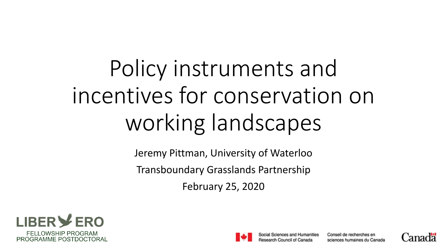# Policy instruments and incentives for conservation on working landscapes

Jeremy Pittman, University of Waterloo Transboundary Grasslands Partnership February 25, 2020





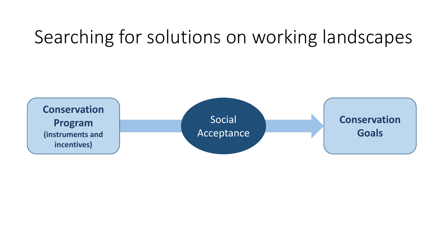# Searching for solutions on working landscapes

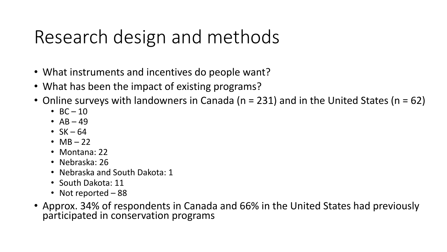# Research design and methods

- What instruments and incentives do people want?
- What has been the impact of existing programs?
- Online surveys with landowners in Canada ( $n = 231$ ) and in the United States ( $n = 62$ )
	- $BC 10$
	- $-$  AB  $-$  49
	- $SK 64$
	- $MB 22$
	- Montana: 22
	- Nebraska: 26
	- Nebraska and South Dakota: 1
	- South Dakota: 11
	- Not reported 88
- Approx. 34% of respondents in Canada and 66% in the United States had previously participated in conservation programs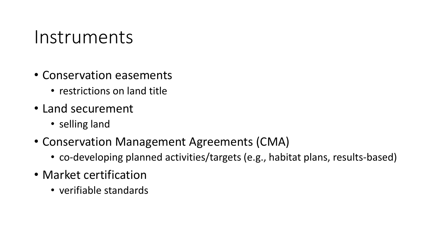#### Instruments

- Conservation easements
	- restrictions on land title
- Land securement
	- selling land
- Conservation Management Agreements (CMA)
	- co-developing planned activities/targets (e.g., habitat plans, results-based)
- Market certification
	- verifiable standards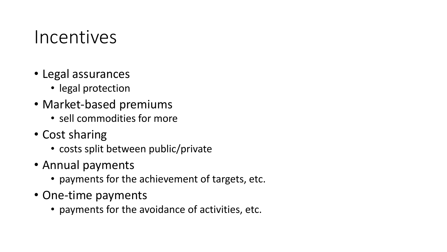#### Incentives

- Legal assurances
	- legal protection
- Market-based premiums
	- sell commodities for more
- Cost sharing
	- costs split between public/private
- Annual payments
	- payments for the achievement of targets, etc.
- One-time payments
	- payments for the avoidance of activities, etc.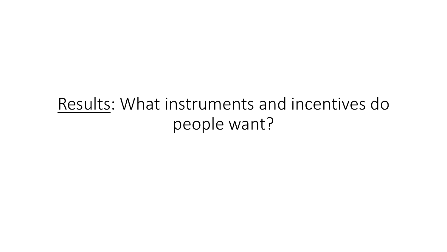Results: What instruments and incentives do people want?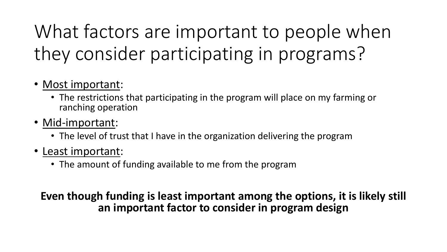# What factors are important to people when they consider participating in programs?

- Most important:
	- The restrictions that participating in the program will place on my farming or ranching operation
- Mid-important:
	- The level of trust that I have in the organization delivering the program
- Least important:
	- The amount of funding available to me from the program

**Even though funding is least important among the options, it is likely still an important factor to consider in program design**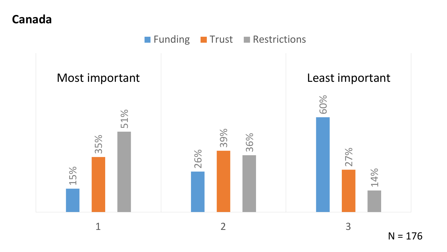**Canada**

**Funding Trust Restrictions** 



 $N = 176$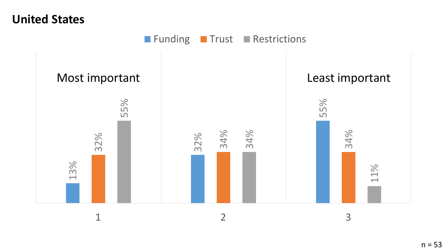#### **United States**

Funding Trust Restrictions

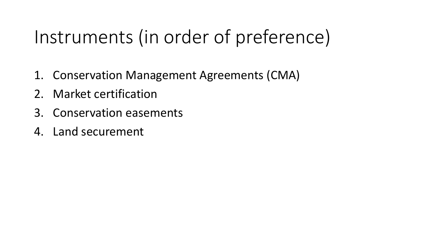# Instruments (in order of preference)

- 1. Conservation Management Agreements (CMA)
- 2. Market certification
- 3. Conservation easements
- 4. Land securement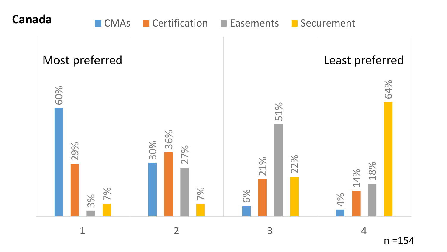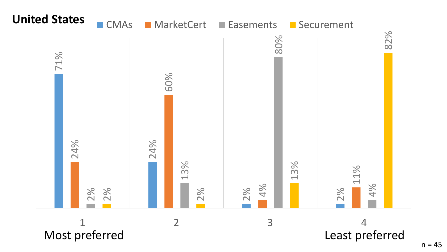

 $n = 45$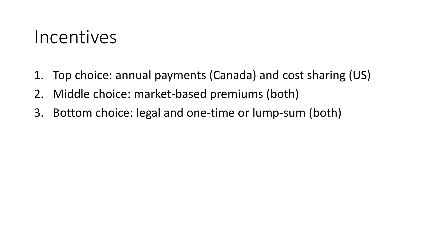#### Incentives

- 1. Top choice: annual payments (Canada) and cost sharing (US)
- 2. Middle choice: market-based premiums (both)
- 3. Bottom choice: legal and one-time or lump-sum (both)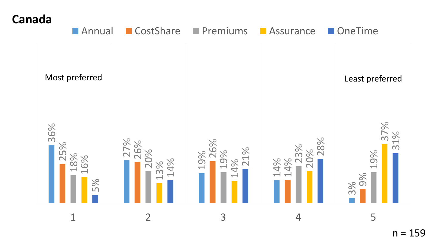



 $n = 159$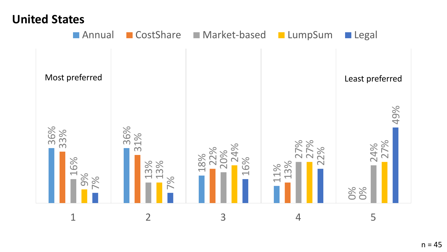#### **United States**

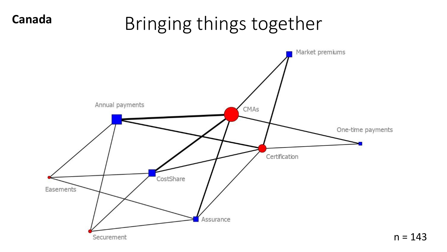### Bringing things together

**Canada**

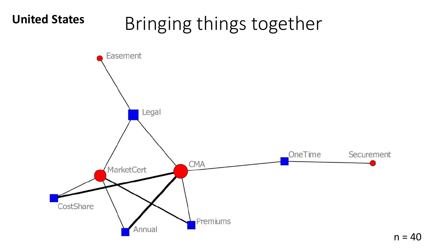# Bringing things together **United States**



 $n = 40$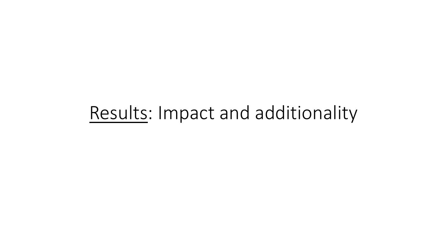#### Results: Impact and additionality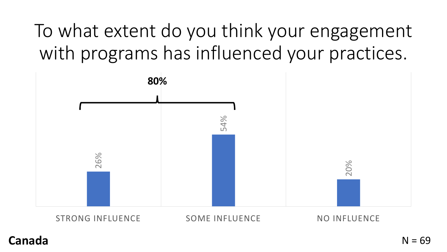To what extent do you think your engagement with programs has influenced your practices.



STRONG INFLUENCE SOME INFLUENCE NO INFLUENCE

#### **Canada**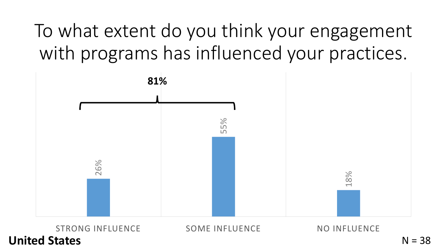To what extent do you think your engagement with programs has influenced your practices.



**United States**

 $N = 38$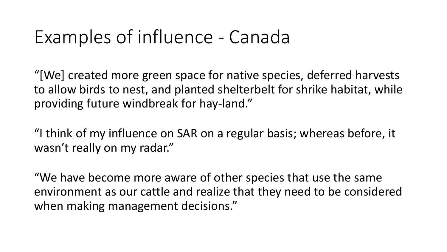### Examples of influence - Canada

"[We] created more green space for native species, deferred harvests to allow birds to nest, and planted shelterbelt for shrike habitat, while providing future windbreak for hay-land."

"I think of my influence on SAR on a regular basis; whereas before, it wasn't really on my radar."

"We have become more aware of other species that use the same environment as our cattle and realize that they need to be considered when making management decisions."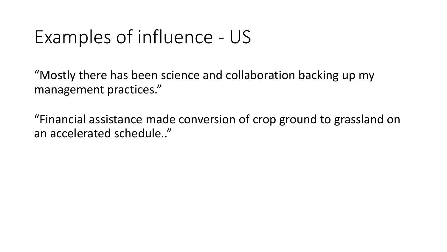### Examples of influence - US

"Mostly there has been science and collaboration backing up my management practices."

"Financial assistance made conversion of crop ground to grassland on an accelerated schedule.."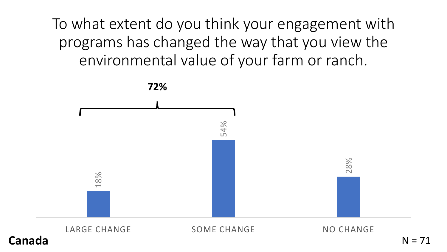To what extent do you think your engagement with programs has changed the way that you view the environmental value of your farm or ranch.



**Canada**

LARGE CHANGE SOME CHANGE NO CHANGE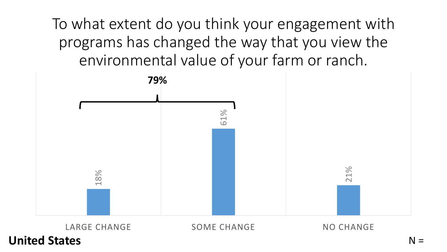To what extent do you think your engagement with programs has changed the way that you view the environmental value of your farm or ranch.



**United States**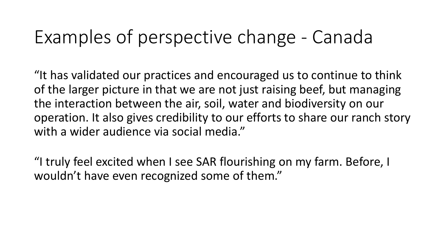#### Examples of perspective change - Canada

"It has validated our practices and encouraged us to continue to think of the larger picture in that we are not just raising beef, but managing the interaction between the air, soil, water and biodiversity on our operation. It also gives credibility to our efforts to share our ranch story with a wider audience via social media."

"I truly feel excited when I see SAR flourishing on my farm. Before, I wouldn't have even recognized some of them."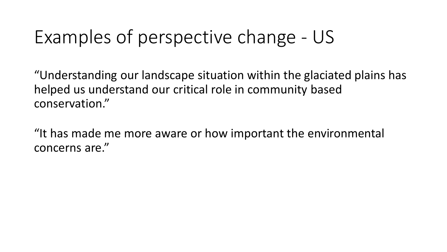### Examples of perspective change - US

"Understanding our landscape situation within the glaciated plains has helped us understand our critical role in community based conservation."

"It has made me more aware or how important the environmental concerns are."